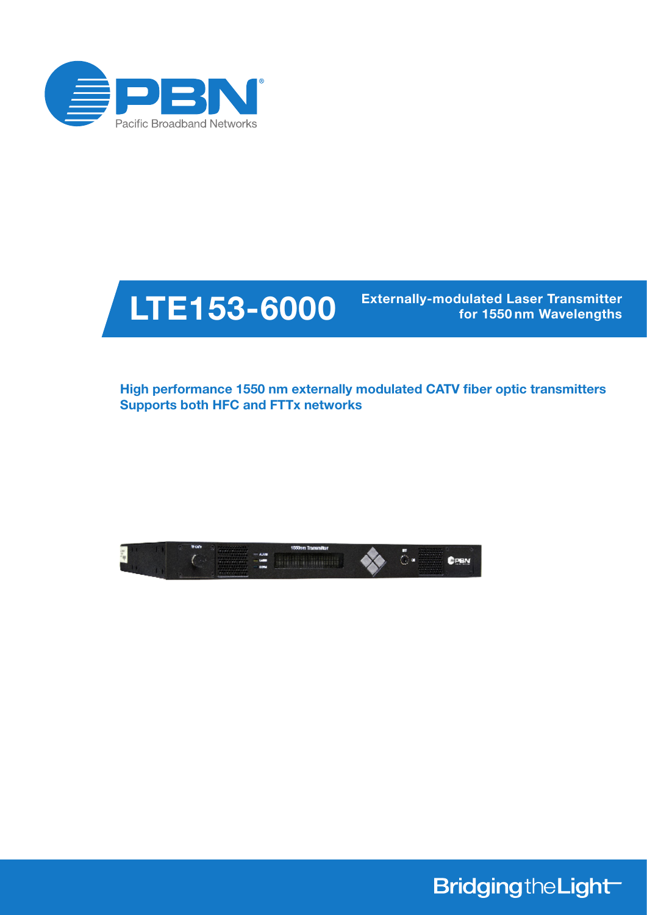



for 1550 nm Wavelengths

High performance 1550 nm externally modulated CATV fiber optic transmitters Supports both HFC and FTTx networks



**BridgingtheLight**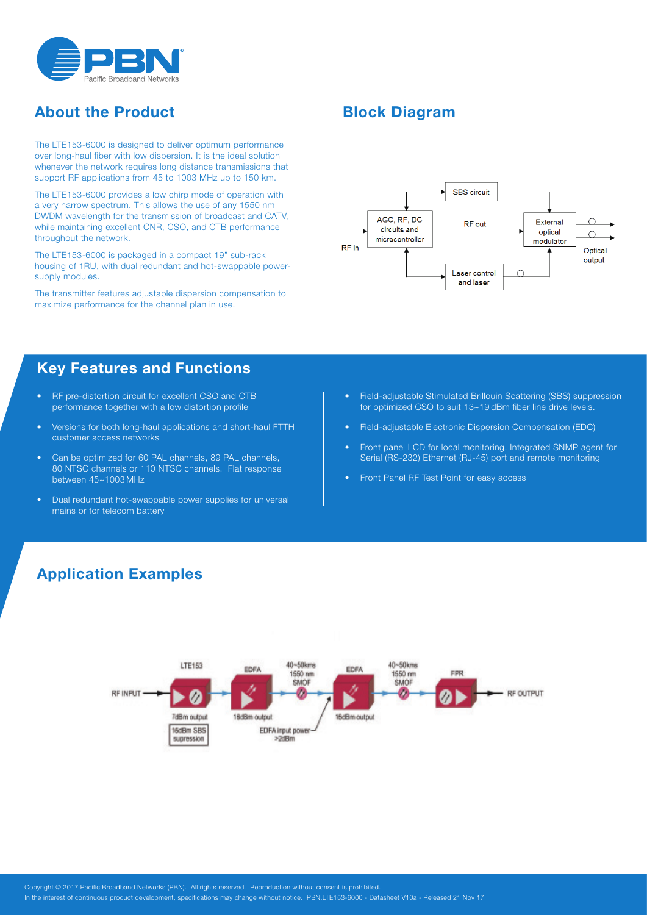

# About the Product

The LTE153-6000 is designed to deliver optimum performance over long-haul fiber with low dispersion. It is the ideal solution whenever the network requires long distance transmissions that support RF applications from 45 to 1003 MHz up to 150 km.

The LTE153-6000 provides a low chirp mode of operation with a very narrow spectrum. This allows the use of any 1550 nm DWDM wavelength for the transmission of broadcast and CATV, while maintaining excellent CNR, CSO, and CTB performance throughout the network.

The LTE153-6000 is packaged in a compact 19" sub-rack housing of 1RU, with dual redundant and hot-swappable powersupply modules.

The transmitter features adjustable dispersion compensation to maximize performance for the channel plan in use.

### Key Features and Functions

- RF pre-distortion circuit for excellent CSO and CTB performance together with a low distortion profile
- Versions for both long-haul applications and short-haul FTTH customer access networks
- Can be optimized for 60 PAL channels, 89 PAL channels, 80 NTSC channels or 110 NTSC channels. Flat response between 45~1003 MHz
- Dual redundant hot-swappable power supplies for universal mains or for telecom battery

## Block Diagram



- Field-adjustable Stimulated Brillouin Scattering (SBS) suppression for optimized CSO to suit 13~19 dBm fiber line drive levels.
- Field-adjustable Electronic Dispersion Compensation (EDC)
- • Front panel LCD for local monitoring. Integrated SNMP agent for Serial (RS-232) Ethernet (RJ-45) port and remote monitoring
- • Front Panel RF Test Point for easy access

### Application Examples

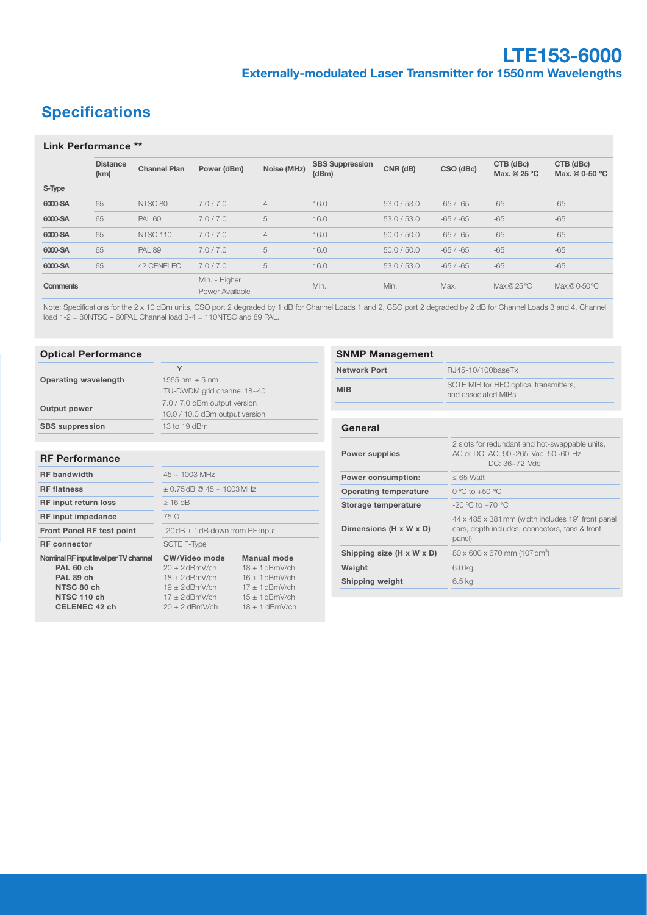# **Specifications**

#### Link Performance \*\*

|                 | <b>Distance</b><br>(km) | <b>Channel Plan</b> | Power (dBm)                      | Noise (MHz)    | <b>SBS Suppression</b><br>(dBm) | CNR (dB)    | CSO (dBc)  | CTB (dBc)<br>Max. @ 25 °C | CTB (dBc)<br>Max. @ 0-50 °C |
|-----------------|-------------------------|---------------------|----------------------------------|----------------|---------------------------------|-------------|------------|---------------------------|-----------------------------|
| S-Type          |                         |                     |                                  |                |                                 |             |            |                           |                             |
| 6000-SA         | 65                      | NTSC 80             | 7.0 / 7.0                        | $\overline{4}$ | 16.0                            | 53.0 / 53.0 | $-65/ -65$ | $-65$                     | $-65$                       |
| 6000-SA         | 65                      | <b>PAL 60</b>       | 7.0/7.0                          | 5              | 16.0                            | 53.0 / 53.0 | $-65/ -65$ | $-65$                     | $-65$                       |
| 6000-SA         | 65                      | NTSC <sub>110</sub> | 7.0/7.0                          | $\overline{4}$ | 16.0                            | 50.0 / 50.0 | $-65/ -65$ | $-65$                     | $-65$                       |
| 6000-SA         | 65                      | <b>PAL 89</b>       | 7.0/7.0                          | 5              | 16.0                            | 50.0 / 50.0 | $-65/ -65$ | $-65$                     | $-65$                       |
| 6000-SA         | 65                      | 42 CENELEC          | 7.0/7.0                          | 5              | 16.0                            | 53.0 / 53.0 | $-65/ -65$ | $-65$                     | $-65$                       |
| <b>Comments</b> |                         |                     | Min. - Higher<br>Power Available |                | Min.                            | Min.        | Max.       | Max.@ 25 °C               | Max.@ 0-50 °C               |

Note: Specifications for the 2 x 10 dBm units, CSO port 2 degraded by 1 dB for Channel Loads 1 and 2, CSO port 2 degraded by 2 dB for Channel Loads 3 and 4. Channel load 1-2 = 80NTSC – 60PAL Channel load 3-4 = 110NTSC and 89 PAL.

#### Optical Performance

|                        |                                                                | <b>Network Po</b> |
|------------------------|----------------------------------------------------------------|-------------------|
| Operating wavelength   | 1555 nm $\pm$ 5 nm<br>ITU-DWDM grid channel 18~40              | <b>MIB</b>        |
| Output power           | 7.0 / 7.0 dBm output version<br>10.0 / 10.0 dBm output version |                   |
| <b>SBS</b> suppression | 13 to 19 dBm                                                   | General           |

#### RF Performance

| <b>RF</b> bandwidth                                                                                                  | $45 \sim 1003$ MHz                                                                                                                                                                                                                   |  |  |  |
|----------------------------------------------------------------------------------------------------------------------|--------------------------------------------------------------------------------------------------------------------------------------------------------------------------------------------------------------------------------------|--|--|--|
| <b>RF</b> flatness                                                                                                   | $\pm$ 0.75 dB @ 45 ~ 1003 MHz                                                                                                                                                                                                        |  |  |  |
| <b>RF input return loss</b>                                                                                          | $>16$ dB                                                                                                                                                                                                                             |  |  |  |
| <b>RF</b> input impedance                                                                                            | 75 O                                                                                                                                                                                                                                 |  |  |  |
| <b>Front Panel RF test point</b>                                                                                     | $-20$ dB $\pm$ 1 dB down from RF input                                                                                                                                                                                               |  |  |  |
| <b>RF</b> connector                                                                                                  | <b>SCTE F-Type</b>                                                                                                                                                                                                                   |  |  |  |
| Nominal RF input level per TV channel<br>PAL 60 ch<br>PAL 89 ch<br>NTSC 80 ch<br>NTSC 110 ch<br><b>CELENEC 42 ch</b> | Manual mode<br>CW/Video mode<br>$20 + 2$ dBmV/ch<br>$18 + 1$ dBmV/ch<br>$18 + 2$ dBmV/ch<br>$16 + 1$ dBmV/ch<br>$19 + 2$ dBmV/ch<br>$17 + 1$ dBmV/ch<br>$17 + 2$ dBmV/ch<br>$15 + 1$ dBmV/ch<br>$20 + 2$ dBmV/ch<br>$18 + 1$ dBmV/ch |  |  |  |
|                                                                                                                      |                                                                                                                                                                                                                                      |  |  |  |

| <b>SNMP Management</b>       |                                                                                                               |  |  |  |  |
|------------------------------|---------------------------------------------------------------------------------------------------------------|--|--|--|--|
| <b>Network Port</b>          | RJ45-10/100baseTx                                                                                             |  |  |  |  |
| <b>MIB</b>                   | SCTE MIB for HFC optical transmitters,<br>and associated MIBs                                                 |  |  |  |  |
|                              |                                                                                                               |  |  |  |  |
| General                      |                                                                                                               |  |  |  |  |
| <b>Power supplies</b>        | 2 slots for redundant and hot-swappable units,<br>AC or DC: AC: 90~265 Vac 50~60 Hz;<br>DC: 36~72 Vdc         |  |  |  |  |
| <b>Power consumption:</b>    | $< 65$ Watt                                                                                                   |  |  |  |  |
| <b>Operating temperature</b> | $0^{\circ}$ C to +50 $^{\circ}$ C                                                                             |  |  |  |  |
| Storage temperature          | $-20$ °C to $+70$ °C                                                                                          |  |  |  |  |
| Dimensions (H x W x D)       | 44 x 485 x 381 mm (width includes 19" front panel<br>ears, depth includes, connectors, fans & front<br>panel) |  |  |  |  |
| Shipping size (H x W x D)    | $80 \times 600 \times 670$ mm (107 dm <sup>3</sup> )                                                          |  |  |  |  |
| Weight                       | 6.0 kg                                                                                                        |  |  |  |  |
| <b>Shipping weight</b>       | $6.5$ kg                                                                                                      |  |  |  |  |